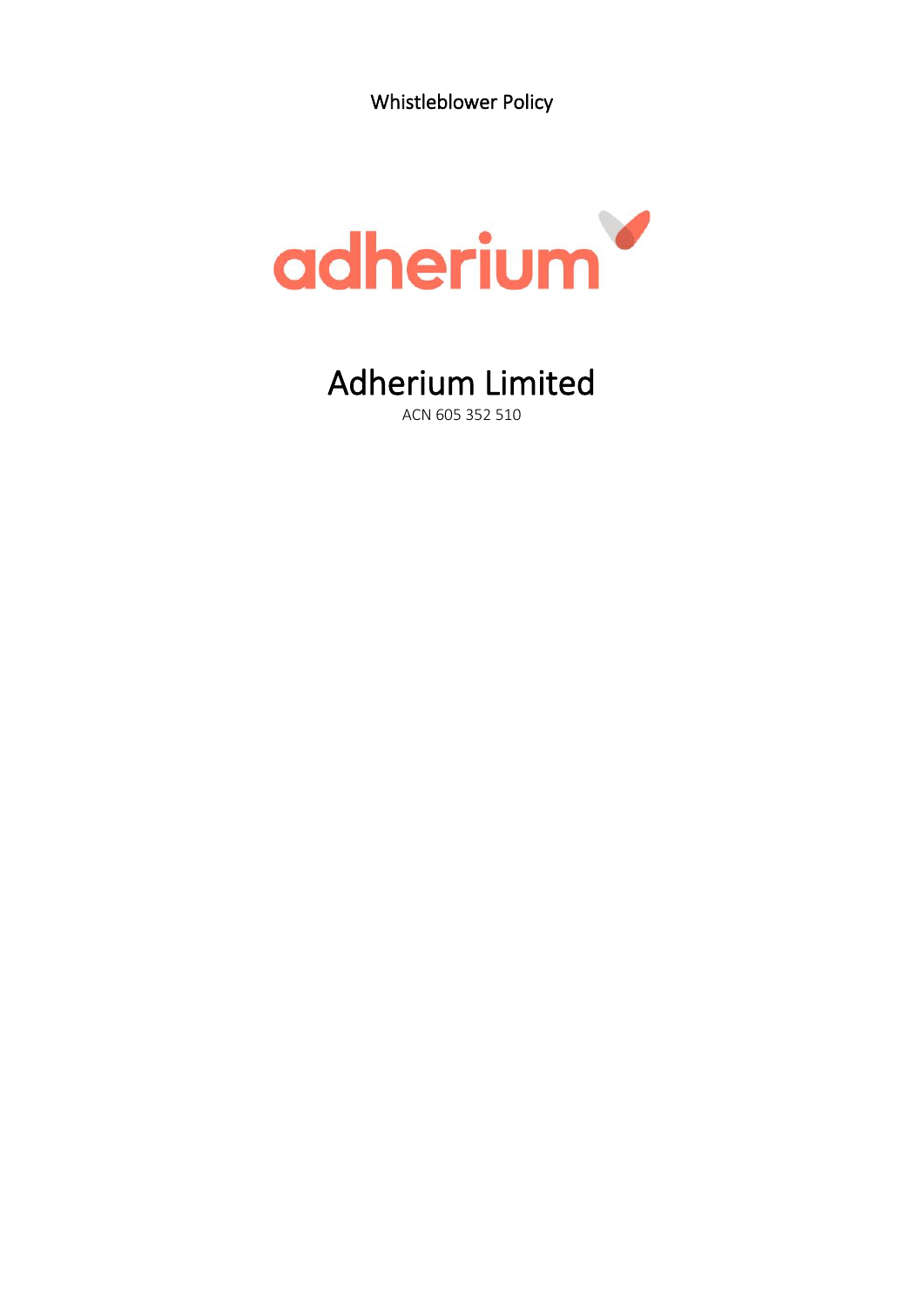Whistleblower Policy



Adherium Limited ACN 605 352 510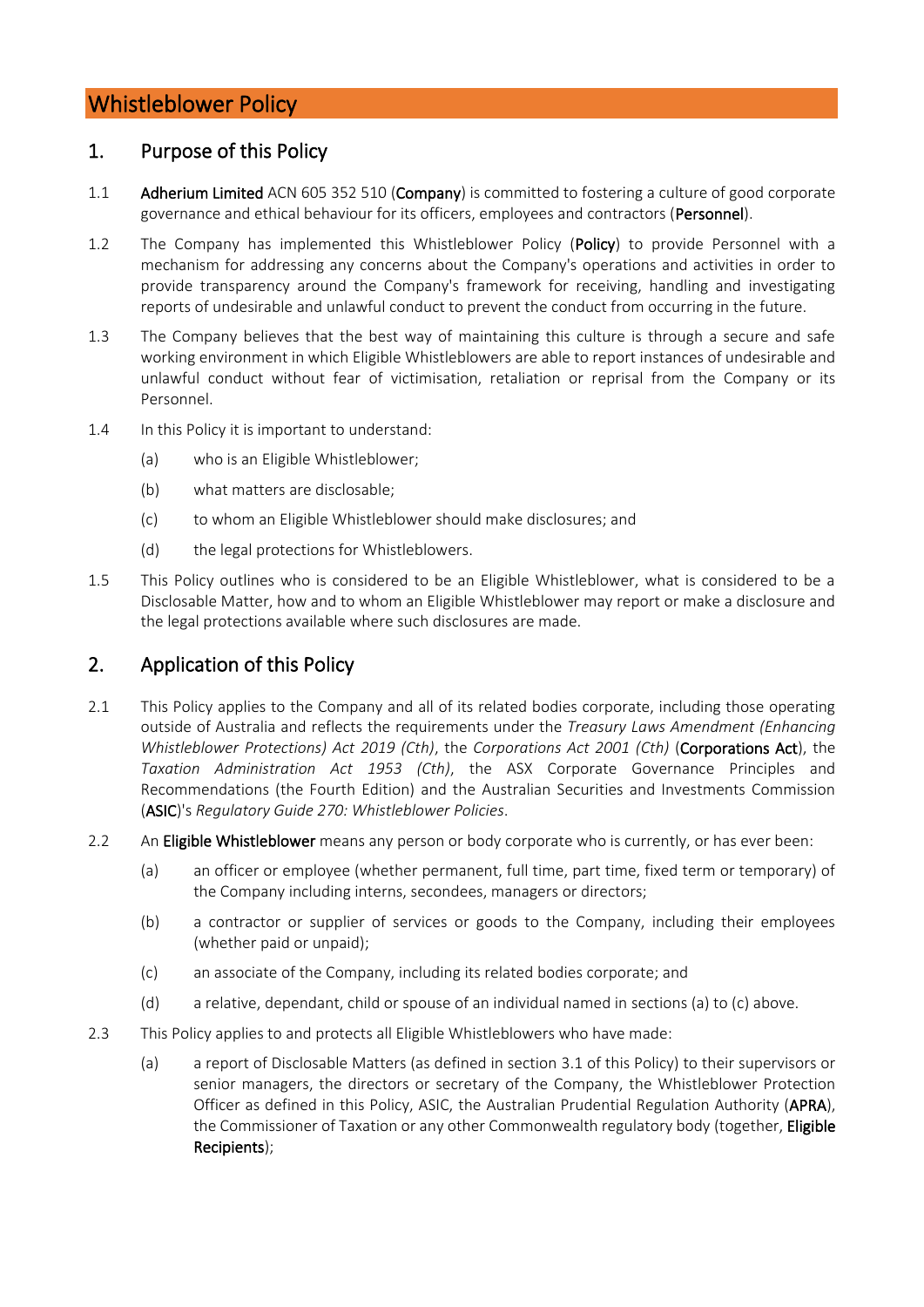# Whistleblower Policy

### 1. Purpose of this Policy

- 1.1 Adherium Limited ACN 605 352 510 (Company) is committed to fostering a culture of good corporate governance and ethical behaviour for its officers, employees and contractors (Personnel).
- 1.2 The Company has implemented this Whistleblower Policy (Policy) to provide Personnel with a mechanism for addressing any concerns about the Company's operations and activities in order to provide transparency around the Company's framework for receiving, handling and investigating reports of undesirable and unlawful conduct to prevent the conduct from occurring in the future.
- 1.3 The Company believes that the best way of maintaining this culture is through a secure and safe working environment in which Eligible Whistleblowers are able to report instances of undesirable and unlawful conduct without fear of victimisation, retaliation or reprisal from the Company or its Personnel.
- 1.4 In this Policy it is important to understand:
	- (a) who is an Eligible Whistleblower;
	- (b) what matters are disclosable;
	- (c) to whom an Eligible Whistleblower should make disclosures; and
	- (d) the legal protections for Whistleblowers.
- 1.5 This Policy outlines who is considered to be an Eligible Whistleblower, what is considered to be a Disclosable Matter, how and to whom an Eligible Whistleblower may report or make a disclosure and the legal protections available where such disclosures are made.

## 2. Application of this Policy

- 2.1 This Policy applies to the Company and all of its related bodies corporate, including those operating outside of Australia and reflects the requirements under the *Treasury Laws Amendment (Enhancing Whistleblower Protections) Act 2019 (Cth)*, the *Corporations Act 2001 (Cth)* (Corporations Act), the *Taxation Administration Act 1953 (Cth)*, the ASX Corporate Governance Principles and Recommendations (the Fourth Edition) and the Australian Securities and Investments Commission (ASIC)'s *Regulatory Guide 270: Whistleblower Policies*.
- <span id="page-1-0"></span>2.2 An Eligible Whistleblower means any person or body corporate who is currently, or has ever been:
	- (a) an officer or employee (whether permanent, full time, part time, fixed term or temporary) of the Company including interns, secondees, managers or directors;
	- (b) a contractor or supplier of services or goods to the Company, including their employees (whether paid or unpaid);
	- (c) an associate of the Company, including its related bodies corporate; and
	- (d) a relative, dependant, child or spouse of an individual named in section[s \(a\)](#page-1-0) t[o \(c\)](#page-1-1) above.
- <span id="page-1-1"></span>2.3 This Policy applies to and protects all Eligible Whistleblowers who have made:
	- (a) a report of Disclosable Matters (as defined in section [3.1](#page-2-0) of this Policy) to their supervisors or senior managers, the directors or secretary of the Company, the Whistleblower Protection Officer as defined in this Policy, ASIC, the Australian Prudential Regulation Authority (APRA), the Commissioner of Taxation or any other Commonwealth regulatory body (together, Eligible Recipients);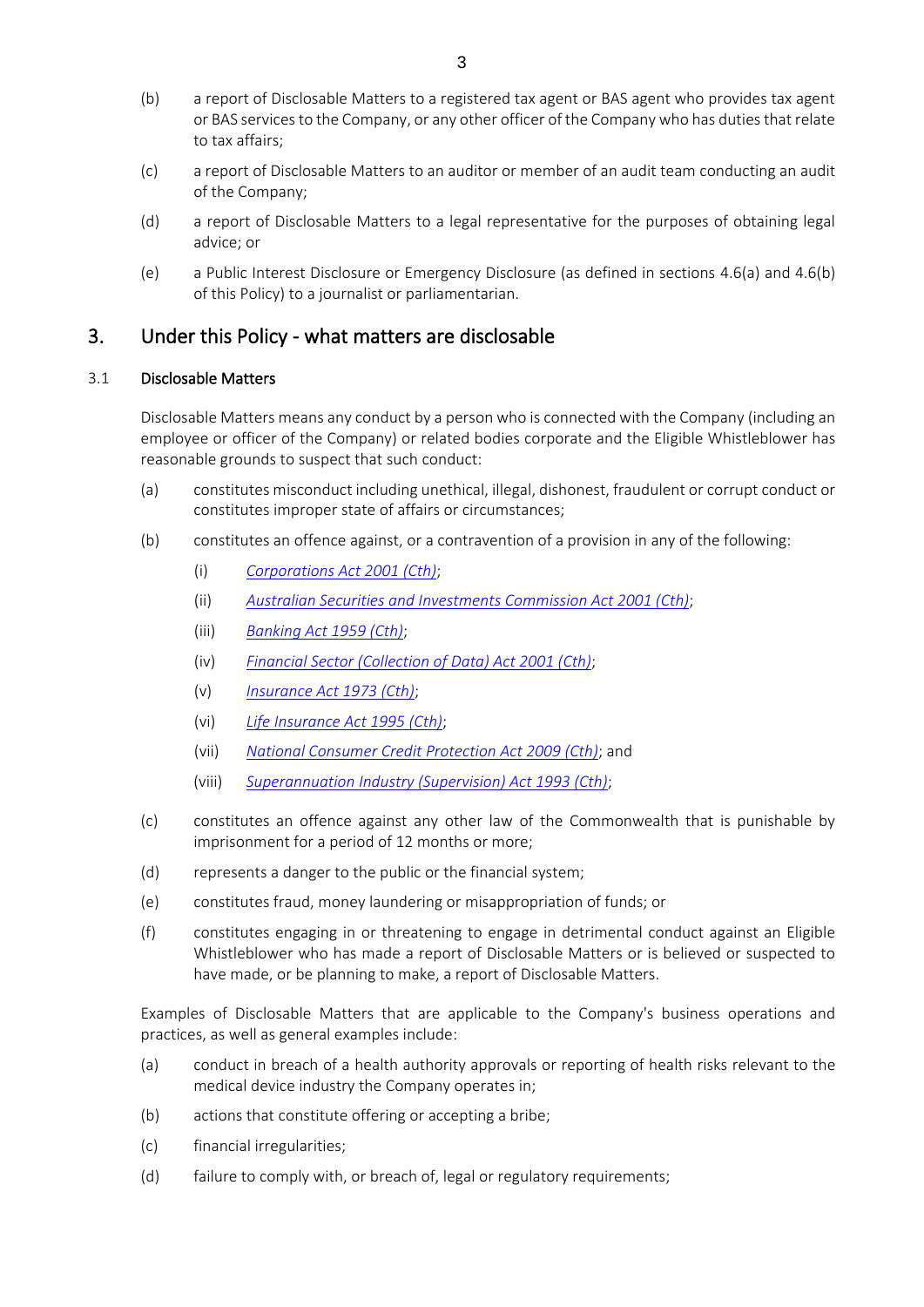- (b) a report of Disclosable Matters to a registered tax agent or BAS agent who provides tax agent or BAS services to the Company, or any other officer of the Company who has duties that relate to tax affairs;
- (c) a report of Disclosable Matters to an auditor or member of an audit team conducting an audit of the Company;
- (d) a report of Disclosable Matters to a legal representative for the purposes of obtaining legal advice; or
- (e) a Public Interest Disclosure or Emergency Disclosure (as defined in sections [4.6\(a\)](#page-4-0) and [4.6\(b\)](#page-5-0) of this Policy) to a journalist or parliamentarian.

## 3. Under this Policy - what matters are disclosable

#### <span id="page-2-0"></span>3.1 Disclosable Matters

Disclosable Matters means any conduct by a person who is connected with the Company (including an employee or officer of the Company) or related bodies corporate and the Eligible Whistleblower has reasonable grounds to suspect that such conduct:

- (a) constitutes misconduct including unethical, illegal, dishonest, fraudulent or corrupt conduct or constitutes improper state of affairs or circumstances;
- (b) constitutes an offence against, or a contravention of a provision in any of the following:
	- (i) *[Corporations Act 2001 \(Cth\)](https://www.legislation.gov.au/Details/C2019C00216)*;
	- (ii) *Australian Securities and [Investments Commission Act 2001 \(Cth\)](https://www.legislation.gov.au/Details/C2019C00207)*;
	- (iii) *[Banking Act 1959 \(Cth\)](https://www.legislation.gov.au/Details/C2019C00218)*;
	- (iv) *[Financial Sector \(Collection of Data\) Act 2001 \(Cth\)](https://www.legislation.gov.au/Details/C2019C00171)*;
	- (v) *[Insurance Act 1973 \(Cth\)](https://www.legislation.gov.au/Details/C2019C00220)*;
	- (vi) *[Life Insurance Act 1995 \(Cth\)](https://www.legislation.gov.au/Details/C2019C00217)*;
	- (vii) *[National Consumer Credit Protection Act 2009 \(Cth\)](https://www.legislation.gov.au/Details/C2019C00154)*; and
	- (viii) *[Superannuation Industry \(Supervision\) Act 1993 \(Cth\)](https://www.legislation.gov.au/Details/C2019C00307)*;
- (c) constitutes an offence against any other law of the Commonwealth that is punishable by imprisonment for a period of 12 months or more;
- (d) represents a danger to the public or the financial system;
- (e) constitutes fraud, money laundering or misappropriation of funds; or
- (f) constitutes engaging in or threatening to engage in detrimental conduct against an Eligible Whistleblower who has made a report of Disclosable Matters or is believed or suspected to have made, or be planning to make, a report of Disclosable Matters.

Examples of Disclosable Matters that are applicable to the Company's business operations and practices, as well as general examples include:

- (a) conduct in breach of a health authority approvals or reporting of health risks relevant to the medical device industry the Company operates in;
- (b) actions that constitute offering or accepting a bribe;
- (c) financial irregularities;
- (d) failure to comply with, or breach of, legal or regulatory requirements;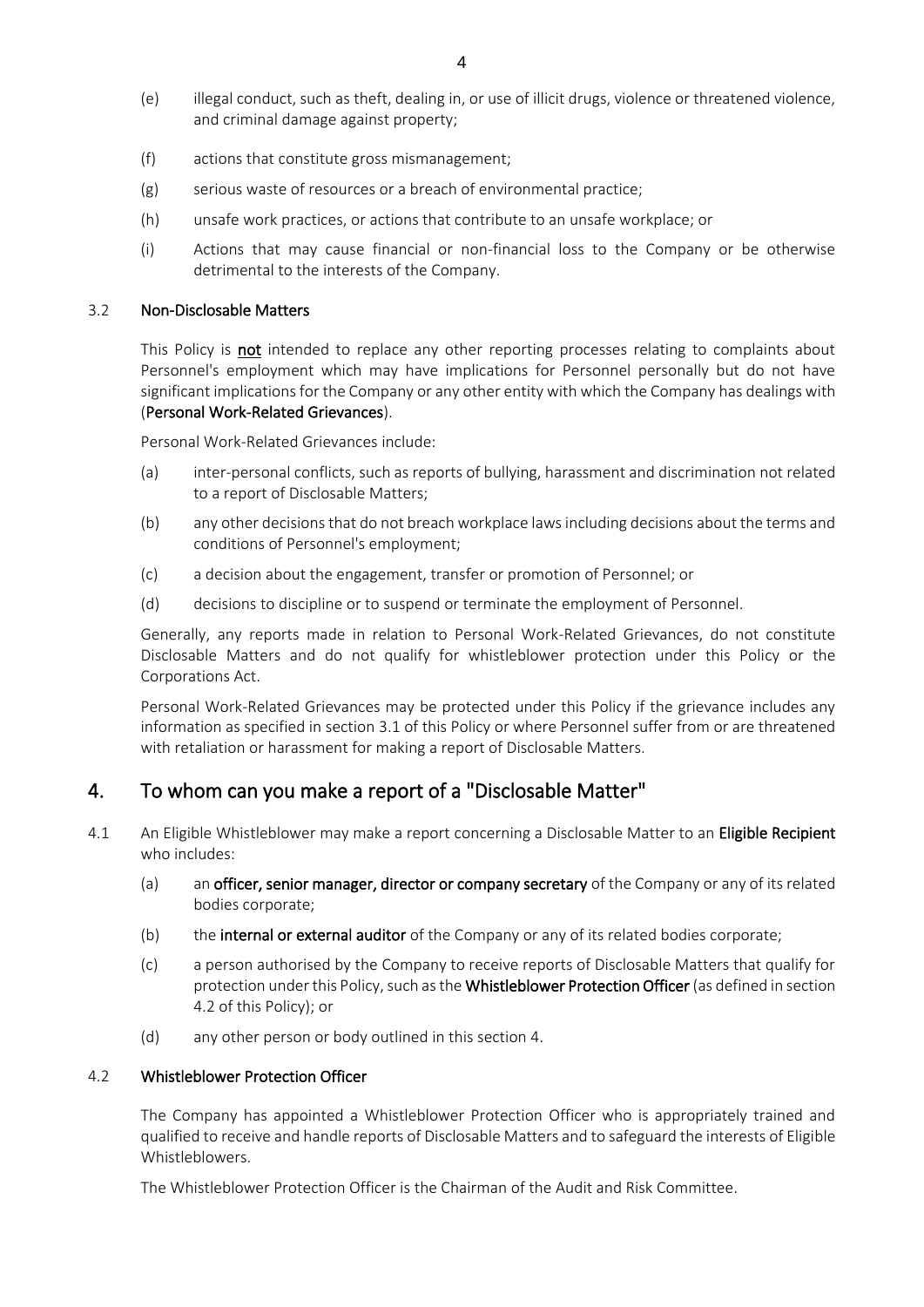- (e) illegal conduct, such as theft, dealing in, or use of illicit drugs, violence or threatened violence, and criminal damage against property;
- (f) actions that constitute gross mismanagement;
- (g) serious waste of resources or a breach of environmental practice;
- (h) unsafe work practices, or actions that contribute to an unsafe workplace; or
- (i) Actions that may cause financial or non-financial loss to the Company or be otherwise detrimental to the interests of the Company.

#### 3.2 Non-Disclosable Matters

This Policy is not intended to replace any other reporting processes relating to complaints about Personnel's employment which may have implications for Personnel personally but do not have significant implications for the Company or any other entity with which the Company has dealings with (Personal Work-Related Grievances).

Personal Work-Related Grievances include:

- (a) inter-personal conflicts, such as reports of bullying, harassment and discrimination not related to a report of Disclosable Matters;
- (b) any other decisions that do not breach workplace laws including decisions about the terms and conditions of Personnel's employment;
- (c) a decision about the engagement, transfer or promotion of Personnel; or
- (d) decisions to discipline or to suspend or terminate the employment of Personnel.

Generally, any reports made in relation to Personal Work-Related Grievances, do not constitute Disclosable Matters and do not qualify for whistleblower protection under this Policy or the Corporations Act.

Personal Work-Related Grievances may be protected under this Policy if the grievance includes any information as specified in section [3.1](#page-2-0) of this Policy or where Personnel suffer from or are threatened with retaliation or harassment for making a report of Disclosable Matters.

## <span id="page-3-1"></span>4. To whom can you make a report of a "Disclosable Matter"

- 4.1 An Eligible Whistleblower may make a report concerning a Disclosable Matter to an Eligible Recipient who includes:
	- (a) an officer, senior manager, director or company secretary of the Company or any of its related bodies corporate;
	- (b) the internal or external auditor of the Company or any of its related bodies corporate;
	- (c) a person authorised by the Company to receive reports of Disclosable Matters that qualify for protection under this Policy, such as the Whistleblower Protection Officer (as defined in section [4.2](#page-3-0) of this Policy); or
	- (d) any other person or body outlined in this section [4.](#page-3-1)

### <span id="page-3-0"></span>4.2 Whistleblower Protection Officer

The Company has appointed a Whistleblower Protection Officer who is appropriately trained and qualified to receive and handle reports of Disclosable Matters and to safeguard the interests of Eligible Whistleblowers.

The Whistleblower Protection Officer is the Chairman of the Audit and Risk Committee.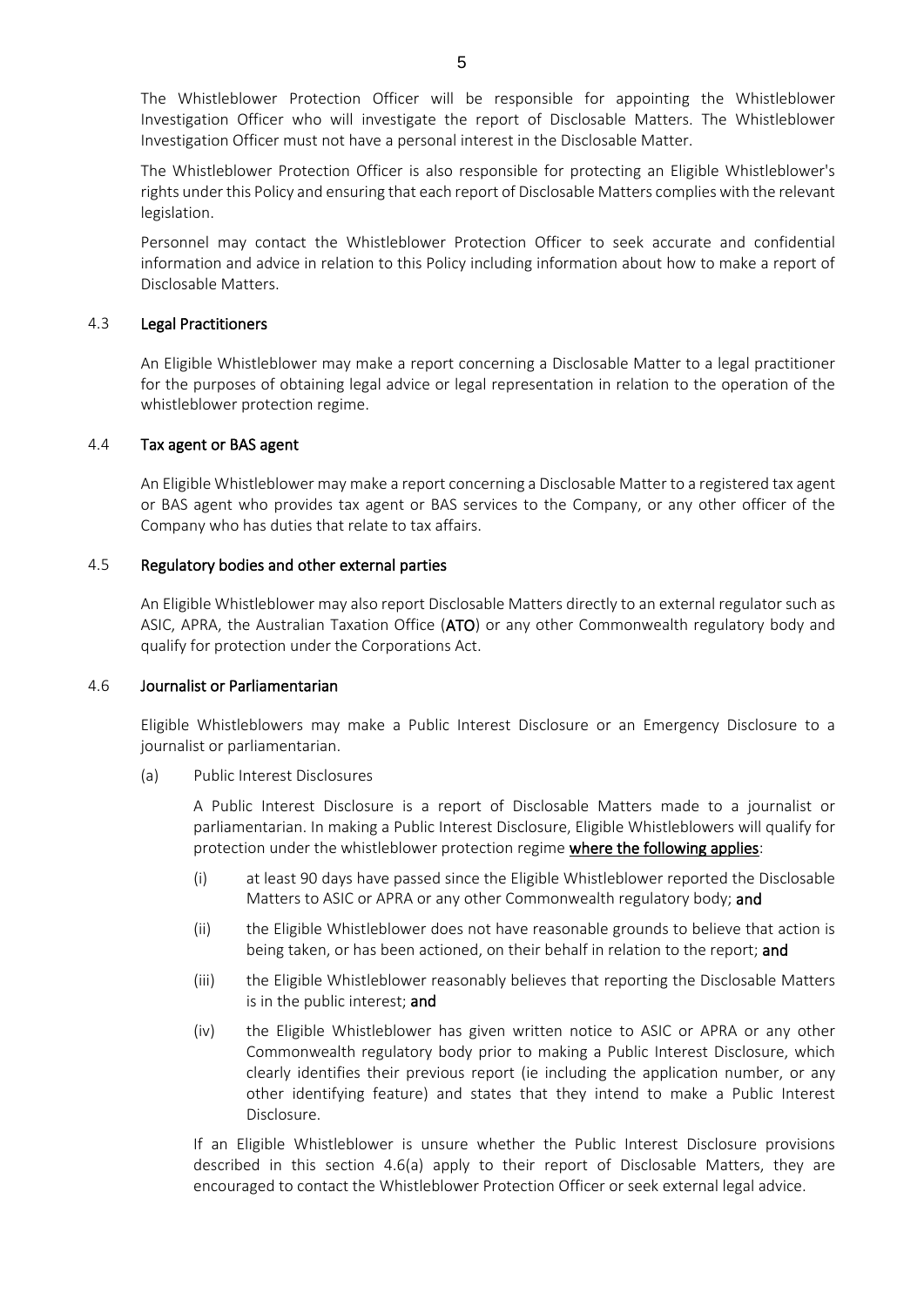The Whistleblower Protection Officer will be responsible for appointing the Whistleblower Investigation Officer who will investigate the report of Disclosable Matters. The Whistleblower Investigation Officer must not have a personal interest in the Disclosable Matter.

The Whistleblower Protection Officer is also responsible for protecting an Eligible Whistleblower's rights under this Policy and ensuring that each report of Disclosable Matters complies with the relevant legislation.

Personnel may contact the Whistleblower Protection Officer to seek accurate and confidential information and advice in relation to this Policy including information about how to make a report of Disclosable Matters.

#### 4.3 Legal Practitioners

An Eligible Whistleblower may make a report concerning a Disclosable Matter to a legal practitioner for the purposes of obtaining legal advice or legal representation in relation to the operation of the whistleblower protection regime.

#### 4.4 Tax agent or BAS agent

An Eligible Whistleblower may make a report concerning a Disclosable Matter to a registered tax agent or BAS agent who provides tax agent or BAS services to the Company, or any other officer of the Company who has duties that relate to tax affairs.

#### 4.5 Regulatory bodies and other external parties

An Eligible Whistleblower may also report Disclosable Matters directly to an external regulator such as ASIC, APRA, the Australian Taxation Office (ATO) or any other Commonwealth regulatory body and qualify for protection under the Corporations Act.

#### <span id="page-4-1"></span>4.6 Journalist or Parliamentarian

Eligible Whistleblowers may make a Public Interest Disclosure or an Emergency Disclosure to a journalist or parliamentarian.

<span id="page-4-0"></span>(a) Public Interest Disclosures

A Public Interest Disclosure is a report of Disclosable Matters made to a journalist or parliamentarian. In making a Public Interest Disclosure, Eligible Whistleblowers will qualify for protection under the whistleblower protection regime where the following applies:

- (i) at least 90 days have passed since the Eligible Whistleblower reported the Disclosable Matters to ASIC or APRA or any other Commonwealth regulatory body; and
- (ii) the Eligible Whistleblower does not have reasonable grounds to believe that action is being taken, or has been actioned, on their behalf in relation to the report; and
- (iii) the Eligible Whistleblower reasonably believes that reporting the Disclosable Matters is in the public interest; and
- (iv) the Eligible Whistleblower has given written notice to ASIC or APRA or any other Commonwealth regulatory body prior to making a Public Interest Disclosure, which clearly identifies their previous report (ie including the application number, or any other identifying feature) and states that they intend to make a Public Interest Disclosure.

If an Eligible Whistleblower is unsure whether the Public Interest Disclosure provisions described in this section [4.6](#page-4-1)[\(a\)](#page-4-0) apply to their report of Disclosable Matters, they are encouraged to contact the Whistleblower Protection Officer or seek external legal advice.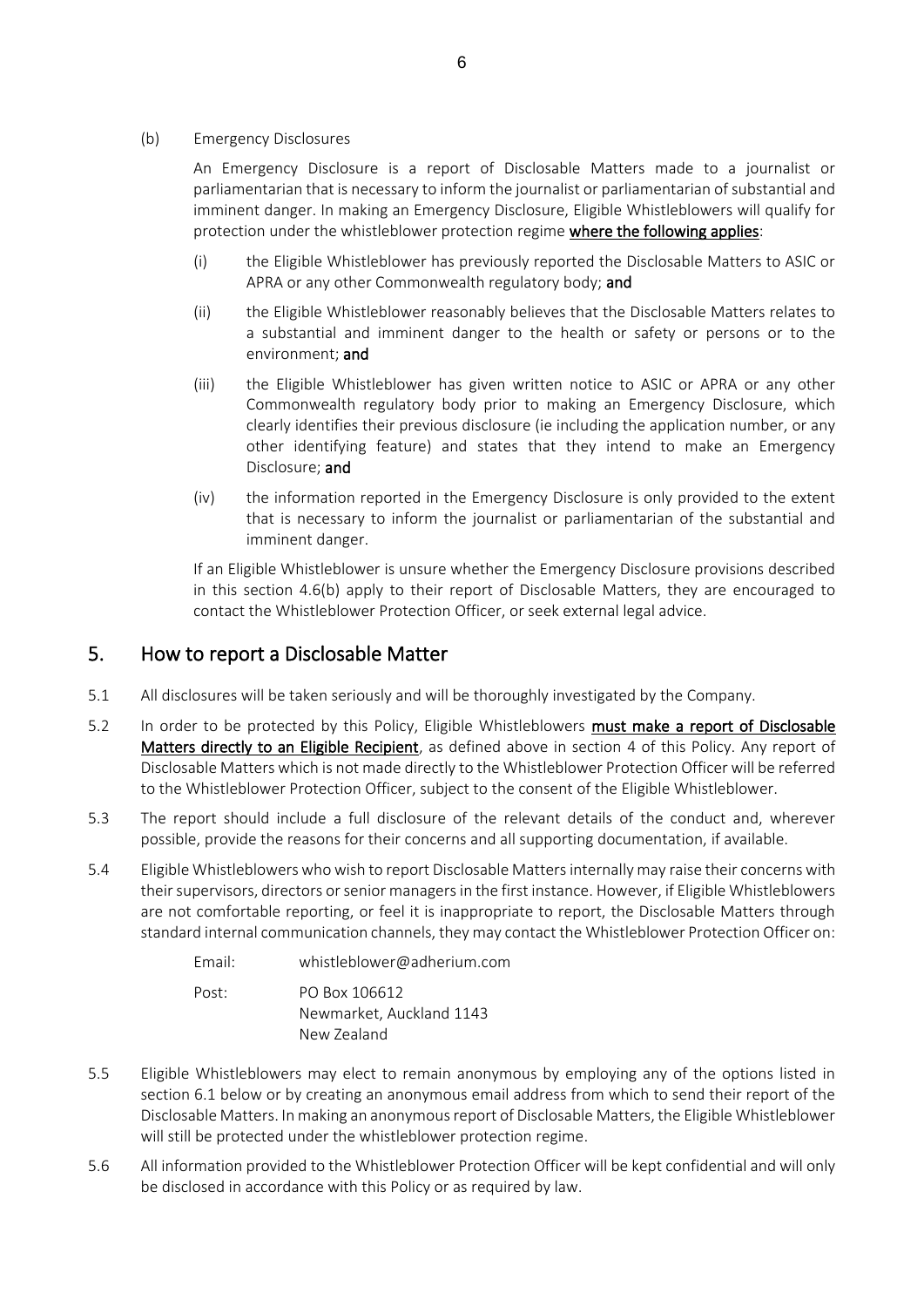#### <span id="page-5-0"></span>(b) Emergency Disclosures

An Emergency Disclosure is a report of Disclosable Matters made to a journalist or parliamentarian that is necessary to inform the journalist or parliamentarian of substantial and imminent danger. In making an Emergency Disclosure, Eligible Whistleblowers will qualify for protection under the whistleblower protection regime where the following applies:

- (i) the Eligible Whistleblower has previously reported the Disclosable Matters to ASIC or APRA or any other Commonwealth regulatory body; and
- (ii) the Eligible Whistleblower reasonably believes that the Disclosable Matters relates to a substantial and imminent danger to the health or safety or persons or to the environment; and
- (iii) the Eligible Whistleblower has given written notice to ASIC or APRA or any other Commonwealth regulatory body prior to making an Emergency Disclosure, which clearly identifies their previous disclosure (ie including the application number, or any other identifying feature) and states that they intend to make an Emergency Disclosure; and
- (iv) the information reported in the Emergency Disclosure is only provided to the extent that is necessary to inform the journalist or parliamentarian of the substantial and imminent danger.

If an Eligible Whistleblower is unsure whether the Emergency Disclosure provisions described in this section [4.6](#page-4-1)[\(b\)](#page-5-0) apply to their report of Disclosable Matters, they are encouraged to contact the Whistleblower Protection Officer, or seek external legal advice.

### 5. How to report a Disclosable Matter

- 5.1 All disclosures will be taken seriously and will be thoroughly investigated by the Company.
- 5.2 In order to be protected by this Policy, Eligible Whistleblowers must make a report of Disclosable Matters directly to an Eligible Recipient, as defined above in section [4](#page-3-1) of this Policy. Any report of Disclosable Matters which is not made directly to the Whistleblower Protection Officer will be referred to the Whistleblower Protection Officer, subject to the consent of the Eligible Whistleblower.
- 5.3 The report should include a full disclosure of the relevant details of the conduct and, wherever possible, provide the reasons for their concerns and all supporting documentation, if available.
- 5.4 Eligible Whistleblowers who wish to report Disclosable Matters internally may raise their concerns with their supervisors, directors or senior managers in the first instance. However, if Eligible Whistleblowers are not comfortable reporting, or feel it is inappropriate to report, the Disclosable Matters through standard internal communication channels, they may contact the Whistleblower Protection Officer on:

| Fmail: | whistleblower@adherium.com |
|--------|----------------------------|
| Post:  | PO Box 106612              |
|        | Newmarket, Auckland 1143   |
|        | New Zealand                |

- 5.5 Eligible Whistleblowers may elect to remain anonymous by employing any of the options listed in section [6.1](#page-6-0) below or by creating an anonymous email address from which to send their report of the Disclosable Matters. In making an anonymous report of Disclosable Matters, the Eligible Whistleblower will still be protected under the whistleblower protection regime.
- 5.6 All information provided to the Whistleblower Protection Officer will be kept confidential and will only be disclosed in accordance with this Policy or as required by law.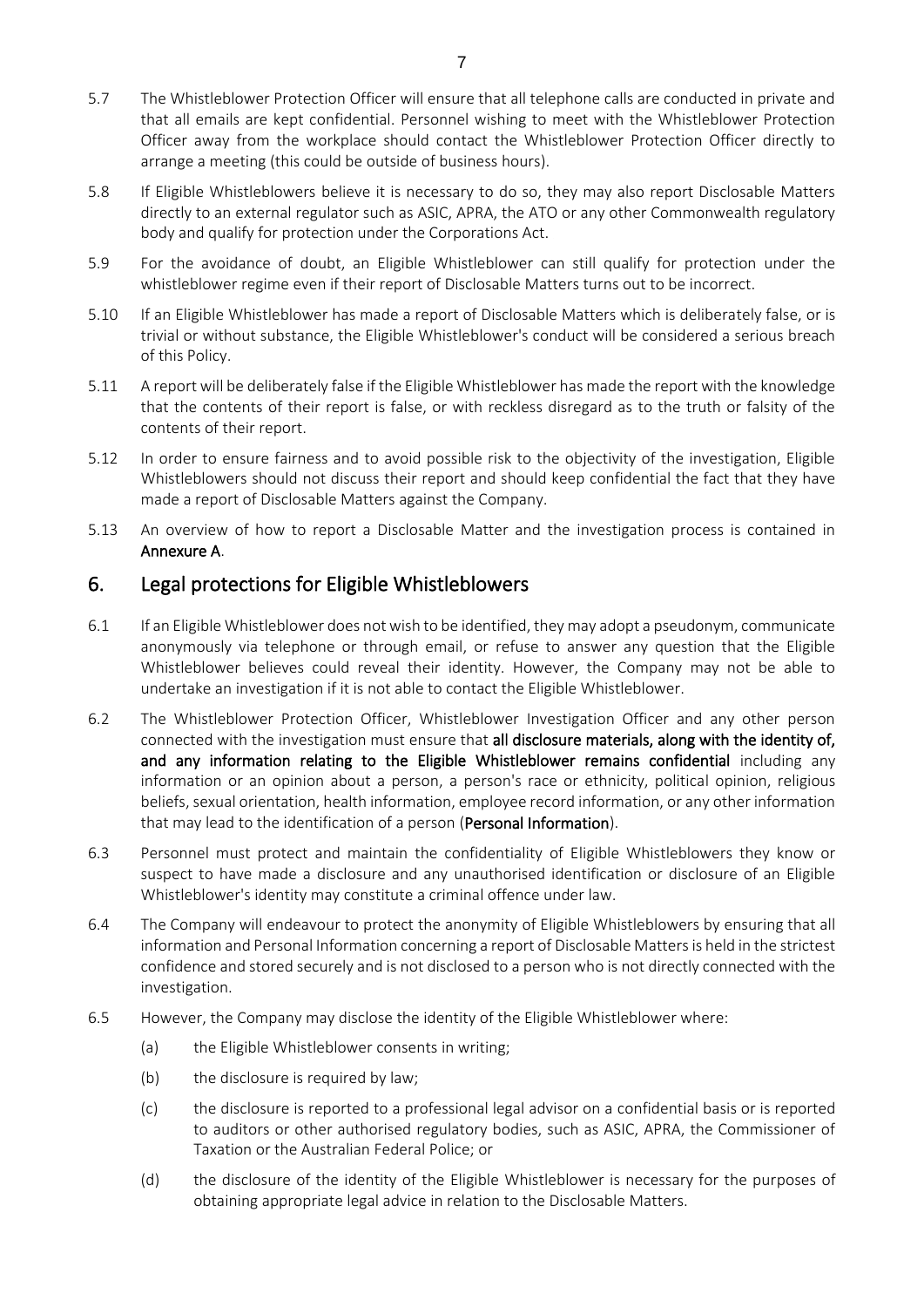- 5.7 The Whistleblower Protection Officer will ensure that all telephone calls are conducted in private and that all emails are kept confidential. Personnel wishing to meet with the Whistleblower Protection Officer away from the workplace should contact the Whistleblower Protection Officer directly to arrange a meeting (this could be outside of business hours).
- 5.8 If Eligible Whistleblowers believe it is necessary to do so, they may also report Disclosable Matters directly to an external regulator such as ASIC, APRA, the ATO or any other Commonwealth regulatory body and qualify for protection under the Corporations Act.
- 5.9 For the avoidance of doubt, an Eligible Whistleblower can still qualify for protection under the whistleblower regime even if their report of Disclosable Matters turns out to be incorrect.
- 5.10 If an Eligible Whistleblower has made a report of Disclosable Matters which is deliberately false, or is trivial or without substance, the Eligible Whistleblower's conduct will be considered a serious breach of this Policy.
- 5.11 A report will be deliberately false if the Eligible Whistleblower has made the report with the knowledge that the contents of their report is false, or with reckless disregard as to the truth or falsity of the contents of their report.
- 5.12 In order to ensure fairness and to avoid possible risk to the objectivity of the investigation, Eligible Whistleblowers should not discuss their report and should keep confidential the fact that they have made a report of Disclosable Matters against the Company.
- 5.13 An overview of how to report a Disclosable Matter and the investigation process is contained in Annexure A.

## 6. Legal protections for Eligible Whistleblowers

- <span id="page-6-0"></span>6.1 If an Eligible Whistleblower does not wish to be identified, they may adopt a pseudonym, communicate anonymously via telephone or through email, or refuse to answer any question that the Eligible Whistleblower believes could reveal their identity. However, the Company may not be able to undertake an investigation if it is not able to contact the Eligible Whistleblower.
- 6.2 The Whistleblower Protection Officer, Whistleblower Investigation Officer and any other person connected with the investigation must ensure that all disclosure materials, along with the identity of, and any information relating to the Eligible Whistleblower remains confidential including any information or an opinion about a person, a person's race or ethnicity, political opinion, religious beliefs, sexual orientation, health information, employee record information, or any other information that may lead to the identification of a person (Personal Information).
- 6.3 Personnel must protect and maintain the confidentiality of Eligible Whistleblowers they know or suspect to have made a disclosure and any unauthorised identification or disclosure of an Eligible Whistleblower's identity may constitute a criminal offence under law.
- 6.4 The Company will endeavour to protect the anonymity of Eligible Whistleblowers by ensuring that all information and Personal Information concerning a report of Disclosable Matters is held in the strictest confidence and stored securely and is not disclosed to a person who is not directly connected with the investigation.
- 6.5 However, the Company may disclose the identity of the Eligible Whistleblower where:
	- (a) the Eligible Whistleblower consents in writing;
	- (b) the disclosure is required by law;
	- (c) the disclosure is reported to a professional legal advisor on a confidential basis or is reported to auditors or other authorised regulatory bodies, such as ASIC, APRA, the Commissioner of Taxation or the Australian Federal Police; or
	- (d) the disclosure of the identity of the Eligible Whistleblower is necessary for the purposes of obtaining appropriate legal advice in relation to the Disclosable Matters.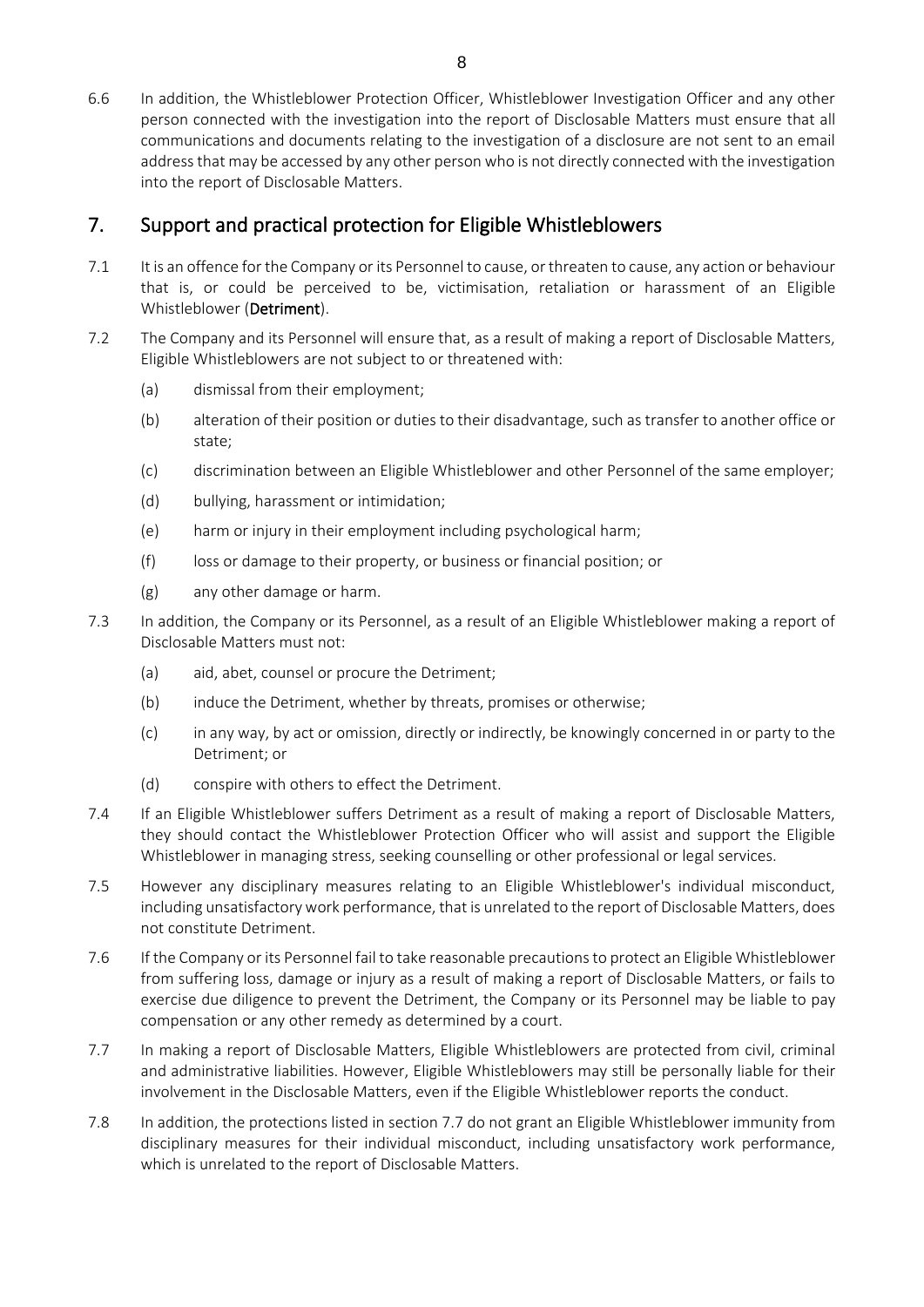6.6 In addition, the Whistleblower Protection Officer, Whistleblower Investigation Officer and any other person connected with the investigation into the report of Disclosable Matters must ensure that all communications and documents relating to the investigation of a disclosure are not sent to an email address that may be accessed by any other person who is not directly connected with the investigation into the report of Disclosable Matters.

## 7. Support and practical protection for Eligible Whistleblowers

- 7.1 It is an offence for the Company or its Personnel to cause, or threaten to cause, any action or behaviour that is, or could be perceived to be, victimisation, retaliation or harassment of an Eligible Whistleblower (Detriment).
- 7.2 The Company and its Personnel will ensure that, as a result of making a report of Disclosable Matters, Eligible Whistleblowers are not subject to or threatened with:
	- (a) dismissal from their employment;
	- (b) alteration of their position or duties to their disadvantage, such as transfer to another office or state;
	- (c) discrimination between an Eligible Whistleblower and other Personnel of the same employer;
	- (d) bullying, harassment or intimidation;
	- (e) harm or injury in their employment including psychological harm;
	- (f) loss or damage to their property, or business or financial position; or
	- (g) any other damage or harm.
- 7.3 In addition, the Company or its Personnel, as a result of an Eligible Whistleblower making a report of Disclosable Matters must not:
	- (a) aid, abet, counsel or procure the Detriment;
	- (b) induce the Detriment, whether by threats, promises or otherwise;
	- (c) in any way, by act or omission, directly or indirectly, be knowingly concerned in or party to the Detriment; or
	- (d) conspire with others to effect the Detriment.
- 7.4 If an Eligible Whistleblower suffers Detriment as a result of making a report of Disclosable Matters, they should contact the Whistleblower Protection Officer who will assist and support the Eligible Whistleblower in managing stress, seeking counselling or other professional or legal services.
- 7.5 However any disciplinary measures relating to an Eligible Whistleblower's individual misconduct, including unsatisfactory work performance, that is unrelated to the report of Disclosable Matters, does not constitute Detriment.
- 7.6 If the Company or its Personnel fail to take reasonable precautions to protect an Eligible Whistleblower from suffering loss, damage or injury as a result of making a report of Disclosable Matters, or fails to exercise due diligence to prevent the Detriment, the Company or its Personnel may be liable to pay compensation or any other remedy as determined by a court.
- <span id="page-7-0"></span>7.7 In making a report of Disclosable Matters, Eligible Whistleblowers are protected from civil, criminal and administrative liabilities. However, Eligible Whistleblowers may still be personally liable for their involvement in the Disclosable Matters, even if the Eligible Whistleblower reports the conduct.
- 7.8 In addition, the protections listed in section [7.7](#page-7-0) do not grant an Eligible Whistleblower immunity from disciplinary measures for their individual misconduct, including unsatisfactory work performance, which is unrelated to the report of Disclosable Matters.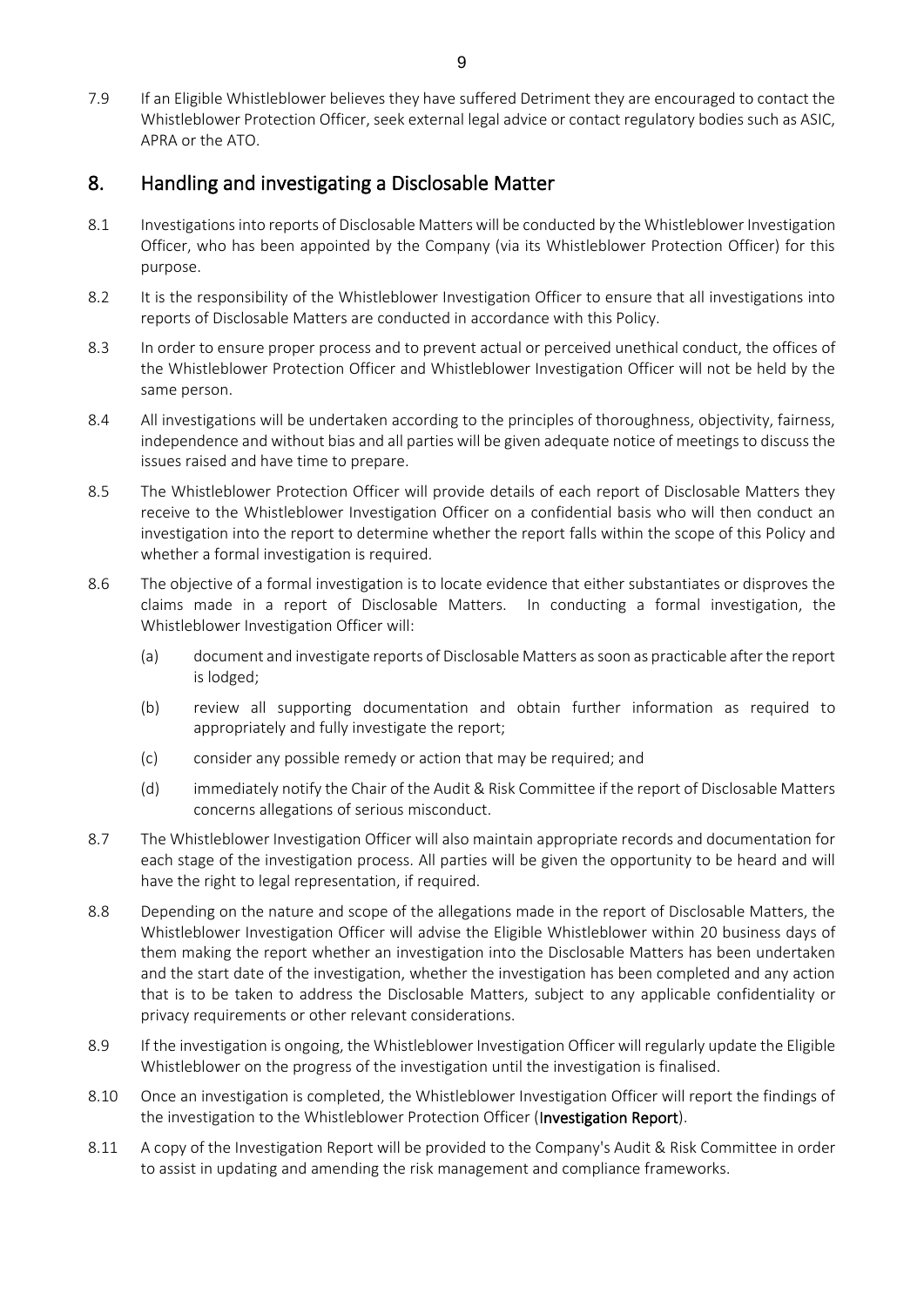7.9 If an Eligible Whistleblower believes they have suffered Detriment they are encouraged to contact the Whistleblower Protection Officer, seek external legal advice or contact regulatory bodies such as ASIC, APRA or the ATO.

## 8. Handling and investigating a Disclosable Matter

- 8.1 Investigations into reports of Disclosable Matters will be conducted by the Whistleblower Investigation Officer, who has been appointed by the Company (via its Whistleblower Protection Officer) for this purpose.
- 8.2 It is the responsibility of the Whistleblower Investigation Officer to ensure that all investigations into reports of Disclosable Matters are conducted in accordance with this Policy.
- 8.3 In order to ensure proper process and to prevent actual or perceived unethical conduct, the offices of the Whistleblower Protection Officer and Whistleblower Investigation Officer will not be held by the same person.
- 8.4 All investigations will be undertaken according to the principles of thoroughness, objectivity, fairness, independence and without bias and all parties will be given adequate notice of meetings to discuss the issues raised and have time to prepare.
- 8.5 The Whistleblower Protection Officer will provide details of each report of Disclosable Matters they receive to the Whistleblower Investigation Officer on a confidential basis who will then conduct an investigation into the report to determine whether the report falls within the scope of this Policy and whether a formal investigation is required.
- 8.6 The objective of a formal investigation is to locate evidence that either substantiates or disproves the claims made in a report of Disclosable Matters. In conducting a formal investigation, the Whistleblower Investigation Officer will:
	- (a) document and investigate reports of Disclosable Matters as soon as practicable after the report is lodged;
	- (b) review all supporting documentation and obtain further information as required to appropriately and fully investigate the report;
	- (c) consider any possible remedy or action that may be required; and
	- (d) immediately notify the Chair of the Audit & Risk Committee if the report of Disclosable Matters concerns allegations of serious misconduct.
- 8.7 The Whistleblower Investigation Officer will also maintain appropriate records and documentation for each stage of the investigation process. All parties will be given the opportunity to be heard and will have the right to legal representation, if required.
- 8.8 Depending on the nature and scope of the allegations made in the report of Disclosable Matters, the Whistleblower Investigation Officer will advise the Eligible Whistleblower within 20 business days of them making the report whether an investigation into the Disclosable Matters has been undertaken and the start date of the investigation, whether the investigation has been completed and any action that is to be taken to address the Disclosable Matters, subject to any applicable confidentiality or privacy requirements or other relevant considerations.
- 8.9 If the investigation is ongoing, the Whistleblower Investigation Officer will regularly update the Eligible Whistleblower on the progress of the investigation until the investigation is finalised.
- 8.10 Once an investigation is completed, the Whistleblower Investigation Officer will report the findings of the investigation to the Whistleblower Protection Officer (Investigation Report).
- 8.11 A copy of the Investigation Report will be provided to the Company's Audit & Risk Committee in order to assist in updating and amending the risk management and compliance frameworks.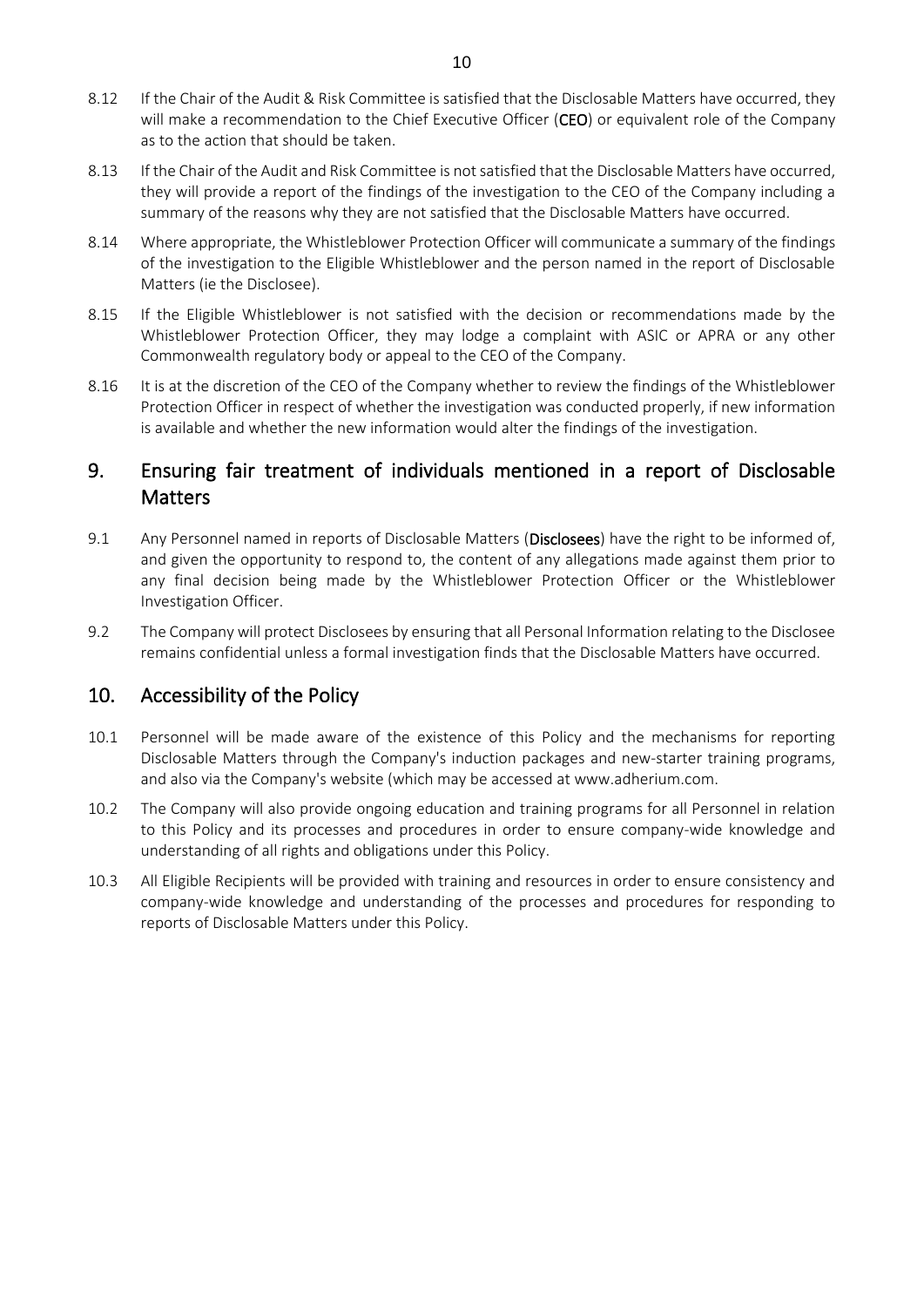- 8.12 If the Chair of the Audit & Risk Committee is satisfied that the Disclosable Matters have occurred, they will make a recommendation to the Chief Executive Officer (CEO) or equivalent role of the Company as to the action that should be taken.
- 8.13 If the Chair of the Audit and Risk Committee is not satisfied that the Disclosable Matters have occurred, they will provide a report of the findings of the investigation to the CEO of the Company including a summary of the reasons why they are not satisfied that the Disclosable Matters have occurred.
- 8.14 Where appropriate, the Whistleblower Protection Officer will communicate a summary of the findings of the investigation to the Eligible Whistleblower and the person named in the report of Disclosable Matters (ie the Disclosee).
- 8.15 If the Eligible Whistleblower is not satisfied with the decision or recommendations made by the Whistleblower Protection Officer, they may lodge a complaint with ASIC or APRA or any other Commonwealth regulatory body or appeal to the CEO of the Company.
- 8.16 It is at the discretion of the CEO of the Company whether to review the findings of the Whistleblower Protection Officer in respect of whether the investigation was conducted properly, if new information is available and whether the new information would alter the findings of the investigation.

## 9. Ensuring fair treatment of individuals mentioned in a report of Disclosable **Matters**

- 9.1 Any Personnel named in reports of Disclosable Matters (Disclosees) have the right to be informed of, and given the opportunity to respond to, the content of any allegations made against them prior to any final decision being made by the Whistleblower Protection Officer or the Whistleblower Investigation Officer.
- 9.2 The Company will protect Disclosees by ensuring that all Personal Information relating to the Disclosee remains confidential unless a formal investigation finds that the Disclosable Matters have occurred.

## 10. Accessibility of the Policy

- 10.1 Personnel will be made aware of the existence of this Policy and the mechanisms for reporting Disclosable Matters through the Company's induction packages and new-starter training programs, and also via the Company's website (which may be accessed at www.adherium.com.
- 10.2 The Company will also provide ongoing education and training programs for all Personnel in relation to this Policy and its processes and procedures in order to ensure company-wide knowledge and understanding of all rights and obligations under this Policy.
- 10.3 All Eligible Recipients will be provided with training and resources in order to ensure consistency and company-wide knowledge and understanding of the processes and procedures for responding to reports of Disclosable Matters under this Policy.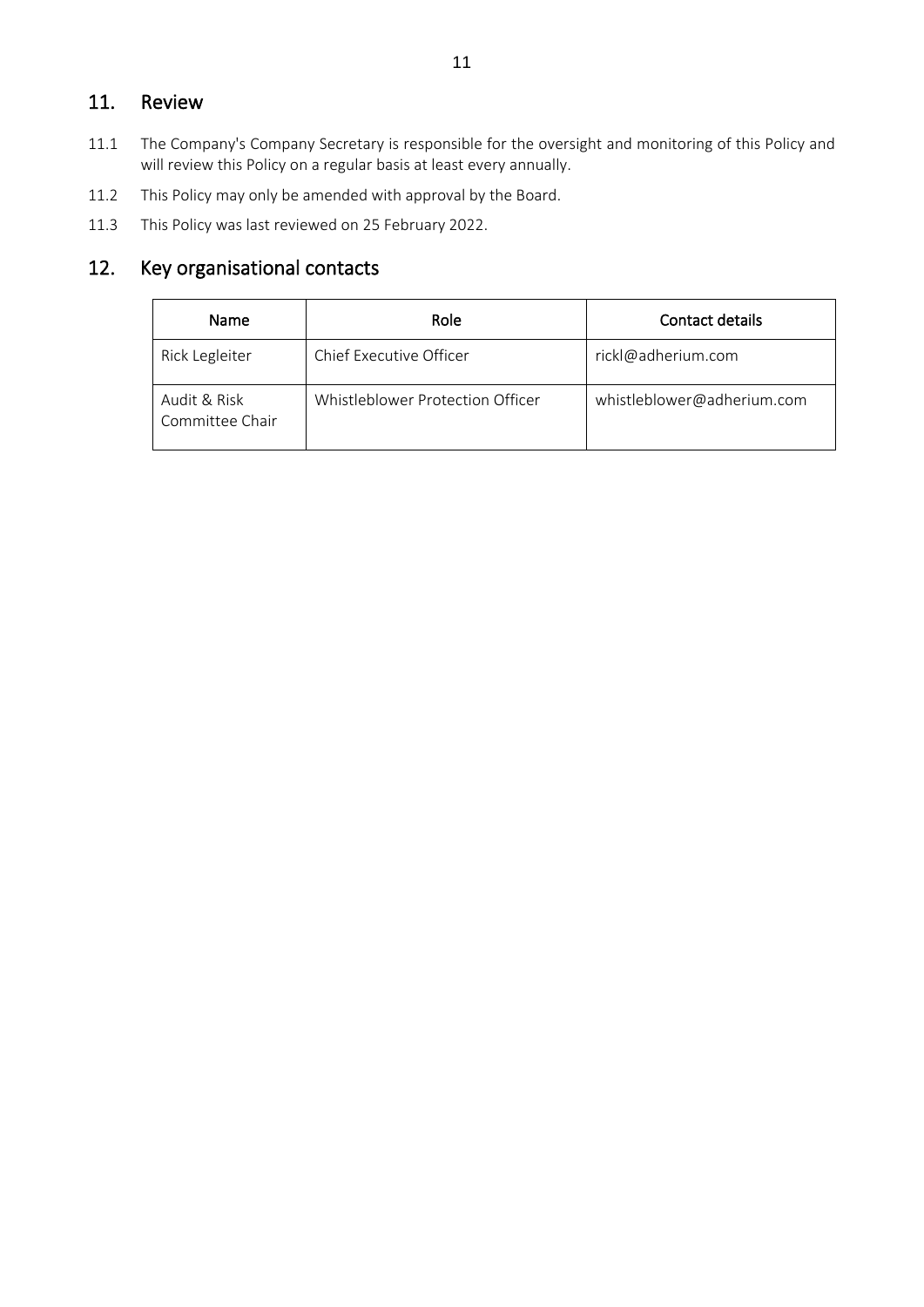## 11. Review

- 11.1 The Company's Company Secretary is responsible for the oversight and monitoring of this Policy and will review this Policy on a regular basis at least every annually.
- 11.2 This Policy may only be amended with approval by the Board.
- 11.3 This Policy was last reviewed on 25 February 2022.

# 12. Key organisational contacts

| Name                            | Role                             | Contact details            |
|---------------------------------|----------------------------------|----------------------------|
| Rick Legleiter                  | Chief Executive Officer          | rickl@adherium.com         |
| Audit & Risk<br>Committee Chair | Whistleblower Protection Officer | whistleblower@adherium.com |